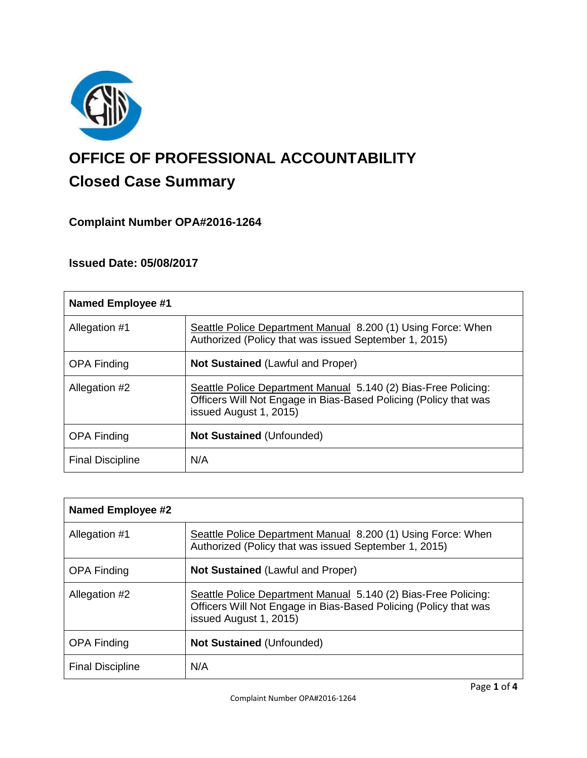

# **OFFICE OF PROFESSIONAL ACCOUNTABILITY Closed Case Summary**

## **Complaint Number OPA#2016-1264**

## **Issued Date: 05/08/2017**

| Named Employee #1       |                                                                                                                                                              |
|-------------------------|--------------------------------------------------------------------------------------------------------------------------------------------------------------|
| Allegation #1           | Seattle Police Department Manual 8.200 (1) Using Force: When<br>Authorized (Policy that was issued September 1, 2015)                                        |
| <b>OPA Finding</b>      | <b>Not Sustained (Lawful and Proper)</b>                                                                                                                     |
| Allegation #2           | Seattle Police Department Manual 5.140 (2) Bias-Free Policing:<br>Officers Will Not Engage in Bias-Based Policing (Policy that was<br>issued August 1, 2015) |
| <b>OPA Finding</b>      | <b>Not Sustained (Unfounded)</b>                                                                                                                             |
| <b>Final Discipline</b> | N/A                                                                                                                                                          |

| <b>Named Employee #2</b> |                                                                                                                                                              |
|--------------------------|--------------------------------------------------------------------------------------------------------------------------------------------------------------|
| Allegation #1            | Seattle Police Department Manual 8.200 (1) Using Force: When<br>Authorized (Policy that was issued September 1, 2015)                                        |
| <b>OPA Finding</b>       | <b>Not Sustained (Lawful and Proper)</b>                                                                                                                     |
| Allegation #2            | Seattle Police Department Manual 5.140 (2) Bias-Free Policing:<br>Officers Will Not Engage in Bias-Based Policing (Policy that was<br>issued August 1, 2015) |
| <b>OPA Finding</b>       | <b>Not Sustained (Unfounded)</b>                                                                                                                             |
| <b>Final Discipline</b>  | N/A                                                                                                                                                          |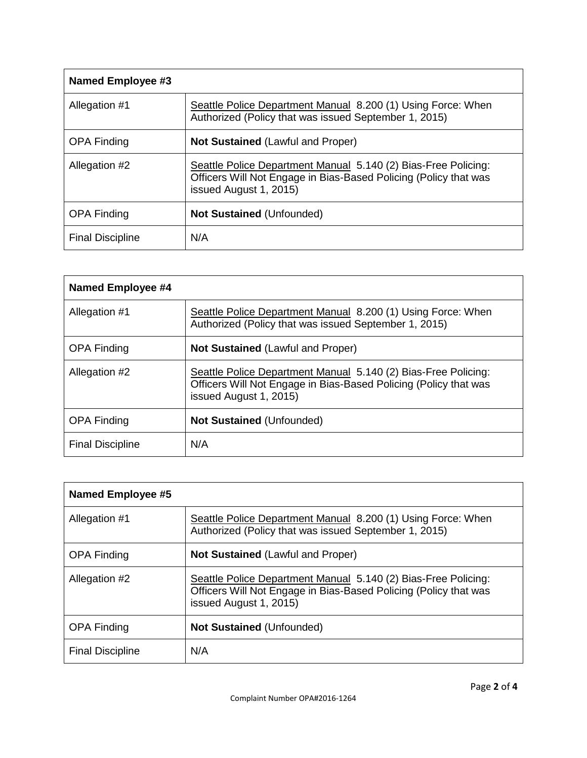| <b>Named Employee #3</b> |                                                                                                                                                              |
|--------------------------|--------------------------------------------------------------------------------------------------------------------------------------------------------------|
| Allegation #1            | Seattle Police Department Manual 8.200 (1) Using Force: When<br>Authorized (Policy that was issued September 1, 2015)                                        |
| <b>OPA Finding</b>       | <b>Not Sustained (Lawful and Proper)</b>                                                                                                                     |
| Allegation #2            | Seattle Police Department Manual 5.140 (2) Bias-Free Policing:<br>Officers Will Not Engage in Bias-Based Policing (Policy that was<br>issued August 1, 2015) |
| <b>OPA Finding</b>       | <b>Not Sustained (Unfounded)</b>                                                                                                                             |
| <b>Final Discipline</b>  | N/A                                                                                                                                                          |

| Named Employee #4       |                                                                                                                                                              |
|-------------------------|--------------------------------------------------------------------------------------------------------------------------------------------------------------|
| Allegation #1           | Seattle Police Department Manual 8.200 (1) Using Force: When<br>Authorized (Policy that was issued September 1, 2015)                                        |
| <b>OPA Finding</b>      | <b>Not Sustained (Lawful and Proper)</b>                                                                                                                     |
| Allegation #2           | Seattle Police Department Manual 5.140 (2) Bias-Free Policing:<br>Officers Will Not Engage in Bias-Based Policing (Policy that was<br>issued August 1, 2015) |
| <b>OPA Finding</b>      | <b>Not Sustained (Unfounded)</b>                                                                                                                             |
| <b>Final Discipline</b> | N/A                                                                                                                                                          |

| <b>Named Employee #5</b> |                                                                                                                                                              |
|--------------------------|--------------------------------------------------------------------------------------------------------------------------------------------------------------|
| Allegation #1            | Seattle Police Department Manual 8.200 (1) Using Force: When<br>Authorized (Policy that was issued September 1, 2015)                                        |
| <b>OPA Finding</b>       | <b>Not Sustained (Lawful and Proper)</b>                                                                                                                     |
| Allegation #2            | Seattle Police Department Manual 5.140 (2) Bias-Free Policing:<br>Officers Will Not Engage in Bias-Based Policing (Policy that was<br>issued August 1, 2015) |
| <b>OPA Finding</b>       | <b>Not Sustained (Unfounded)</b>                                                                                                                             |
| <b>Final Discipline</b>  | N/A                                                                                                                                                          |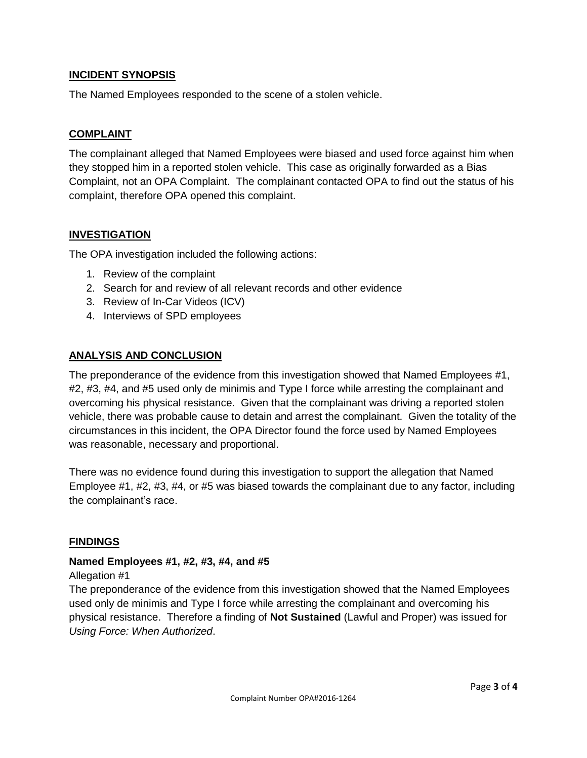### **INCIDENT SYNOPSIS**

The Named Employees responded to the scene of a stolen vehicle.

#### **COMPLAINT**

The complainant alleged that Named Employees were biased and used force against him when they stopped him in a reported stolen vehicle. This case as originally forwarded as a Bias Complaint, not an OPA Complaint. The complainant contacted OPA to find out the status of his complaint, therefore OPA opened this complaint.

#### **INVESTIGATION**

The OPA investigation included the following actions:

- 1. Review of the complaint
- 2. Search for and review of all relevant records and other evidence
- 3. Review of In-Car Videos (ICV)
- 4. Interviews of SPD employees

#### **ANALYSIS AND CONCLUSION**

The preponderance of the evidence from this investigation showed that Named Employees #1, #2, #3, #4, and #5 used only de minimis and Type I force while arresting the complainant and overcoming his physical resistance. Given that the complainant was driving a reported stolen vehicle, there was probable cause to detain and arrest the complainant. Given the totality of the circumstances in this incident, the OPA Director found the force used by Named Employees was reasonable, necessary and proportional.

There was no evidence found during this investigation to support the allegation that Named Employee #1, #2, #3, #4, or #5 was biased towards the complainant due to any factor, including the complainant's race.

#### **FINDINGS**

#### **Named Employees #1, #2, #3, #4, and #5**

#### Allegation #1

The preponderance of the evidence from this investigation showed that the Named Employees used only de minimis and Type I force while arresting the complainant and overcoming his physical resistance. Therefore a finding of **Not Sustained** (Lawful and Proper) was issued for *Using Force: When Authorized*.